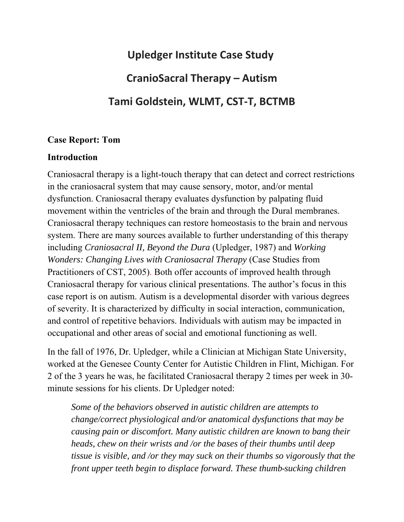# **Upledger Institute Case Study CranioSacral Therapy – Autism Tami Goldstein, WLMT, CST‐T, BCTMB**

#### **Case Report: Tom**

## **Introduction**

Craniosacral therapy is a light-touch therapy that can detect and correct restrictions in the craniosacral system that may cause sensory, motor, and/or mental dysfunction. Craniosacral therapy evaluates dysfunction by palpating fluid movement within the ventricles of the brain and through the Dural membranes. Craniosacral therapy techniques can restore homeostasis to the brain and nervous system. There are many sources available to further understanding of this therapy including *Craniosacral II, Beyond the Dura* (Upledger, 1987) and *Working Wonders: Changing Lives with Craniosacral Therapy* (Case Studies from Practitioners of CST, 2005). Both offer accounts of improved health through Craniosacral therapy for various clinical presentations. The author's focus in this case report is on autism. Autism is a developmental disorder with various degrees of severity. It is characterized by difficulty in social interaction, communication, and control of repetitive behaviors. Individuals with autism may be impacted in occupational and other areas of social and emotional functioning as well.

In the fall of 1976, Dr. Upledger, while a Clinician at Michigan State University, worked at the Genesee County Center for Autistic Children in Flint, Michigan. For 2 of the 3 years he was, he facilitated Craniosacral therapy 2 times per week in 30 minute sessions for his clients. Dr Upledger noted:

*Some of the behaviors observed in autistic children are attempts to change/correct physiological and/or anatomical dysfunctions that may be causing pain or discomfort. Many autistic children are known to bang their heads, chew on their wrists and /or the bases of their thumbs until deep tissue is visible, and /or they may suck on their thumbs so vigorously that the front upper teeth begin to displace forward. These thumb sucking children*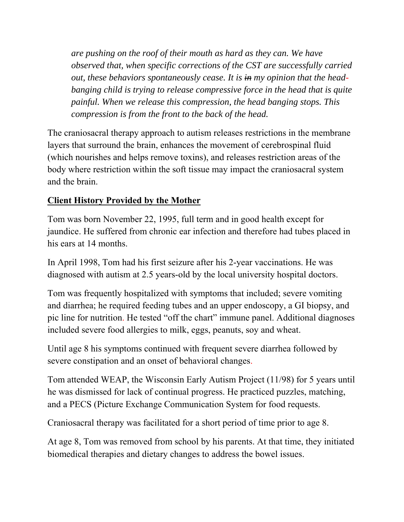*are pushing on the roof of their mouth as hard as they can. We have observed that, when specific corrections of the CST are successfully carried out, these behaviors spontaneously cease. It is in my opinion that the headbanging child is trying to release compressive force in the head that is quite painful. When we release this compression, the head banging stops. This compression is from the front to the back of the head.* 

The craniosacral therapy approach to autism releases restrictions in the membrane layers that surround the brain, enhances the movement of cerebrospinal fluid (which nourishes and helps remove toxins), and releases restriction areas of the body where restriction within the soft tissue may impact the craniosacral system and the brain.

# **Client History Provided by the Mother**

Tom was born November 22, 1995, full term and in good health except for jaundice. He suffered from chronic ear infection and therefore had tubes placed in his ears at 14 months.

In April 1998, Tom had his first seizure after his 2-year vaccinations. He was diagnosed with autism at 2.5 years-old by the local university hospital doctors.

Tom was frequently hospitalized with symptoms that included; severe vomiting and diarrhea; he required feeding tubes and an upper endoscopy, a GI biopsy, and pic line for nutrition. He tested "off the chart" immune panel. Additional diagnoses included severe food allergies to milk, eggs, peanuts, soy and wheat.

Until age 8 his symptoms continued with frequent severe diarrhea followed by severe constipation and an onset of behavioral changes.

Tom attended WEAP, the Wisconsin Early Autism Project (11/98) for 5 years until he was dismissed for lack of continual progress. He practiced puzzles, matching, and a PECS (Picture Exchange Communication System for food requests.

Craniosacral therapy was facilitated for a short period of time prior to age 8.

At age 8, Tom was removed from school by his parents. At that time, they initiated biomedical therapies and dietary changes to address the bowel issues.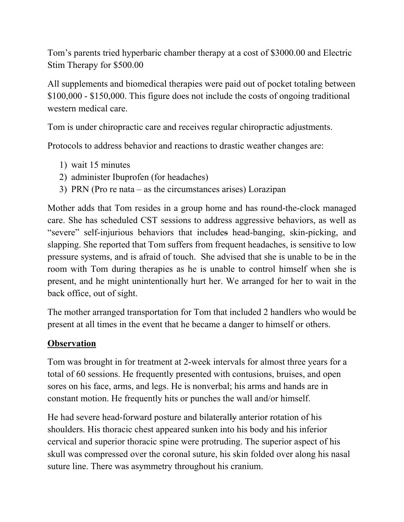Tom's parents tried hyperbaric chamber therapy at a cost of \$3000.00 and Electric Stim Therapy for \$500.00

All supplements and biomedical therapies were paid out of pocket totaling between \$100,000 - \$150,000. This figure does not include the costs of ongoing traditional western medical care.

Tom is under chiropractic care and receives regular chiropractic adjustments.

Protocols to address behavior and reactions to drastic weather changes are:

- 1) wait 15 minutes
- 2) administer Ibuprofen (for headaches)
- 3) PRN (Pro re nata as the circumstances arises) Lorazipan

Mother adds that Tom resides in a group home and has round-the-clock managed care. She has scheduled CST sessions to address aggressive behaviors, as well as "severe" self-injurious behaviors that includes head-banging, skin-picking, and slapping. She reported that Tom suffers from frequent headaches, is sensitive to low pressure systems, and is afraid of touch. She advised that she is unable to be in the room with Tom during therapies as he is unable to control himself when she is present, and he might unintentionally hurt her. We arranged for her to wait in the back office, out of sight.

The mother arranged transportation for Tom that included 2 handlers who would be present at all times in the event that he became a danger to himself or others.

# **Observation**

Tom was brought in for treatment at 2-week intervals for almost three years for a total of 60 sessions. He frequently presented with contusions, bruises, and open sores on his face, arms, and legs. He is nonverbal; his arms and hands are in constant motion. He frequently hits or punches the wall and/or himself.

He had severe head-forward posture and bilaterally anterior rotation of his shoulders. His thoracic chest appeared sunken into his body and his inferior cervical and superior thoracic spine were protruding. The superior aspect of his skull was compressed over the coronal suture, his skin folded over along his nasal suture line. There was asymmetry throughout his cranium.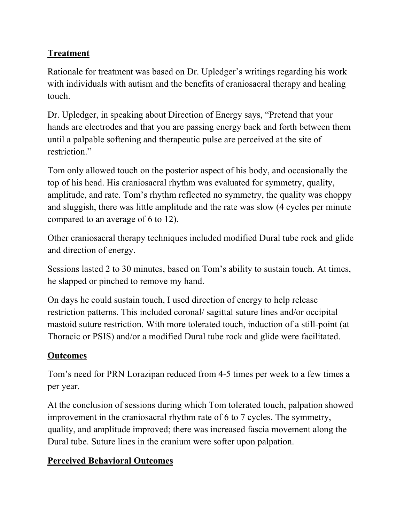# **Treatment**

Rationale for treatment was based on Dr. Upledger's writings regarding his work with individuals with autism and the benefits of craniosacral therapy and healing touch.

Dr. Upledger, in speaking about Direction of Energy says, "Pretend that your hands are electrodes and that you are passing energy back and forth between them until a palpable softening and therapeutic pulse are perceived at the site of restriction."

Tom only allowed touch on the posterior aspect of his body, and occasionally the top of his head. His craniosacral rhythm was evaluated for symmetry, quality, amplitude, and rate. Tom's rhythm reflected no symmetry, the quality was choppy and sluggish, there was little amplitude and the rate was slow (4 cycles per minute compared to an average of 6 to 12).

Other craniosacral therapy techniques included modified Dural tube rock and glide and direction of energy.

Sessions lasted 2 to 30 minutes, based on Tom's ability to sustain touch. At times, he slapped or pinched to remove my hand.

On days he could sustain touch, I used direction of energy to help release restriction patterns. This included coronal/ sagittal suture lines and/or occipital mastoid suture restriction. With more tolerated touch, induction of a still-point (at Thoracic or PSIS) and/or a modified Dural tube rock and glide were facilitated.

# **Outcomes**

Tom's need for PRN Lorazipan reduced from 4-5 times per week to a few times a per year.

At the conclusion of sessions during which Tom tolerated touch, palpation showed improvement in the craniosacral rhythm rate of 6 to 7 cycles. The symmetry, quality, and amplitude improved; there was increased fascia movement along the Dural tube. Suture lines in the cranium were softer upon palpation.

# **Perceived Behavioral Outcomes**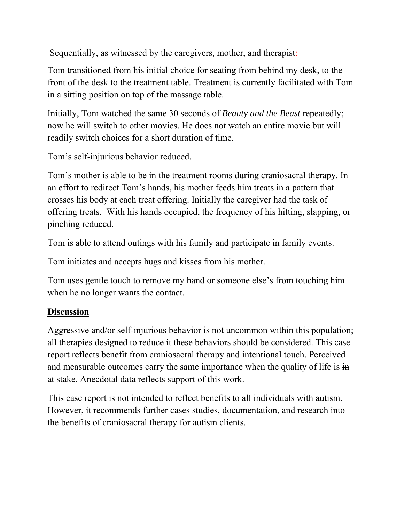Sequentially, as witnessed by the caregivers, mother, and therapist:

Tom transitioned from his initial choice for seating from behind my desk, to the front of the desk to the treatment table. Treatment is currently facilitated with Tom in a sitting position on top of the massage table.

Initially, Tom watched the same 30 seconds of *Beauty and the Beast* repeatedly; now he will switch to other movies. He does not watch an entire movie but will readily switch choices for a short duration of time.

Tom's self-injurious behavior reduced.

Tom's mother is able to be in the treatment rooms during craniosacral therapy. In an effort to redirect Tom's hands, his mother feeds him treats in a pattern that crosses his body at each treat offering. Initially the caregiver had the task of offering treats. With his hands occupied, the frequency of his hitting, slapping, or pinching reduced.

Tom is able to attend outings with his family and participate in family events.

Tom initiates and accepts hugs and kisses from his mother.

Tom uses gentle touch to remove my hand or someone else's from touching him when he no longer wants the contact.

#### **Discussion**

Aggressive and/or self-injurious behavior is not uncommon within this population; all therapies designed to reduce it these behaviors should be considered. This case report reflects benefit from craniosacral therapy and intentional touch. Perceived and measurable outcomes carry the same importance when the quality of life is  $\frac{1}{n}$ at stake. Anecdotal data reflects support of this work.

This case report is not intended to reflect benefits to all individuals with autism. However, it recommends further cases studies, documentation, and research into the benefits of craniosacral therapy for autism clients.